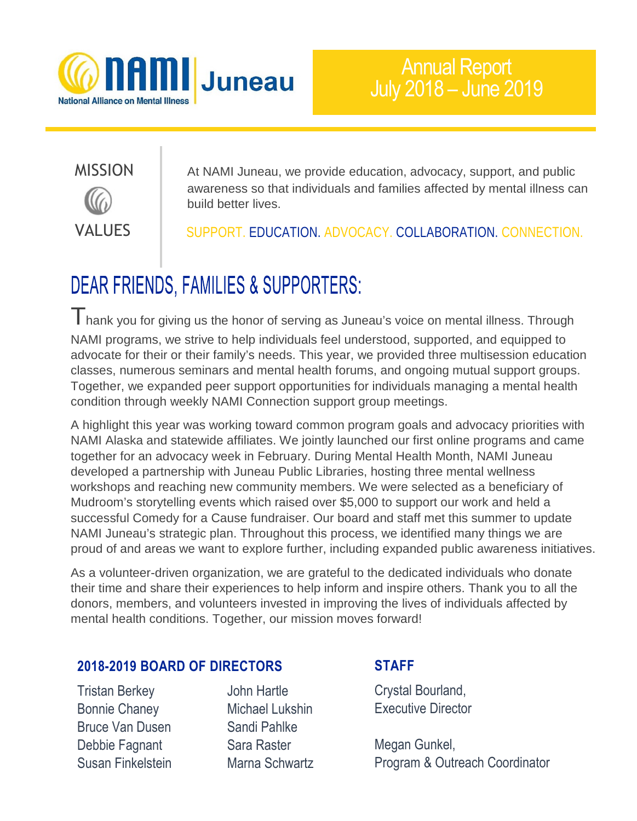

# VALUES

MISSION At NAMI Juneau, we provide education, advocacy, support, and public awareness so that individuals and families affected by mental illness can build better lives.

SUPPORT. EDUCATION. ADVOCACY. COLLABORATION. CONNECTION.

### **DEAR FRIENDS, FAMILIES & SUPPORTERS:**

Thank you for giving us the honor of serving as Juneau's voice on mental illness. Through NAMI programs, we strive to help individuals feel understood, supported, and equipped to advocate for their or their family's needs. This year, we provided three multisession education classes, numerous seminars and mental health forums, and ongoing mutual support groups. Together, we expanded peer support opportunities for individuals managing a mental health condition through weekly NAMI Connection support group meetings.

A highlight this year was working toward common program goals and advocacy priorities with NAMI Alaska and statewide affiliates. We jointly launched our first online programs and came together for an advocacy week in February. During Mental Health Month, NAMI Juneau developed a partnership with Juneau Public Libraries, hosting three mental wellness workshops and reaching new community members. We were selected as a beneficiary of Mudroom's storytelling events which raised over \$5,000 to support our work and held a successful Comedy for a Cause fundraiser. Our board and staff met this summer to update NAMI Juneau's strategic plan. Throughout this process, we identified many things we are proud of and areas we want to explore further, including expanded public awareness initiatives.

As a volunteer-driven organization, we are grateful to the dedicated individuals who donate their time and share their experiences to help inform and inspire others. Thank you to all the donors, members, and volunteers invested in improving the lives of individuals affected by mental health conditions. Together, our mission moves forward!

#### **2018-2019 BOARD OF DIRECTORS**

Tristan Berkey John Hartle Bonnie Chaney Michael Lukshin Bruce Van Dusen Sandi Pahlke Debbie Fagnant Sara Raster Susan Finkelstein Marna Schwartz

#### **STAFF**

Crystal Bourland, Executive Director

Megan Gunkel, Program & Outreach Coordinator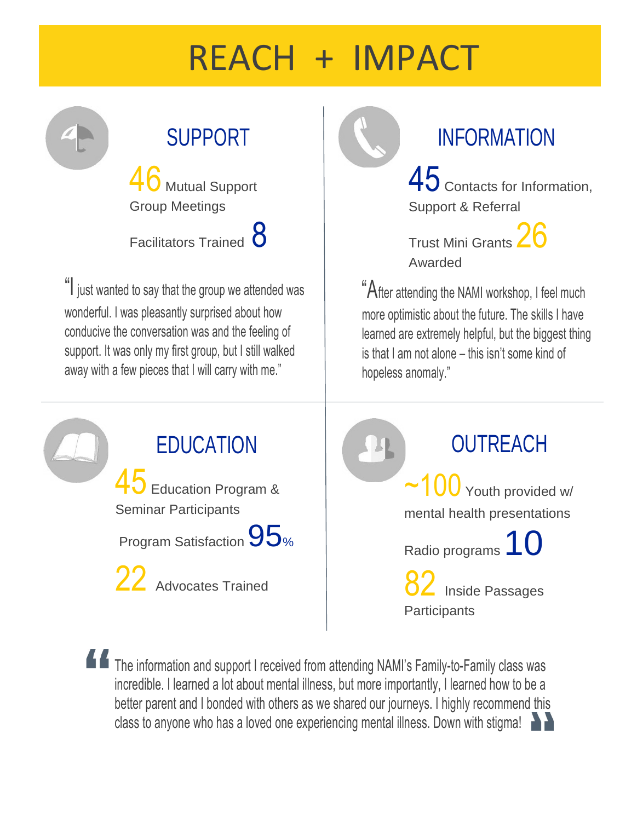# REACH + IMPACT

Mutual Support Group Meetings Facilitators Trained **8** 

"I just wanted to say that the group we attended was wonderful. I was pleasantly surprised about how conducive the conversation was and the feeling of support. It was only my first group, but I still walked away with a few pieces that I will carry with me."

# SUPPORT INFORMATION

45 Contacts for Information, Support & Referral

Trust Mini Grants 26 Awarded

"After attending the NAMI workshop, I feel much more optimistic about the future. The skills I have learned are extremely helpful, but the biggest thing is that I am not alone – this isn't some kind of hopeless anomaly."

EDUCATION 45 Education Program & Seminar Participants Program Satisfaction 95%

22 Advocates Trained

**OUTREACH**  $\sim$ 100 Youth provided w/ mental health presentations Radio programs 10

> $\overline{2}$  Inside Passages **Participants**

The information and support I received from attending NAMI's Family-to-Family class was incredible. I learned a lot about mental illness, but more importantly, I learned how to be a better parent and I bonded with others as we shared our journeys. I highly recommend this class to anyone who has a loved one experiencing mental illness. Down with stigma!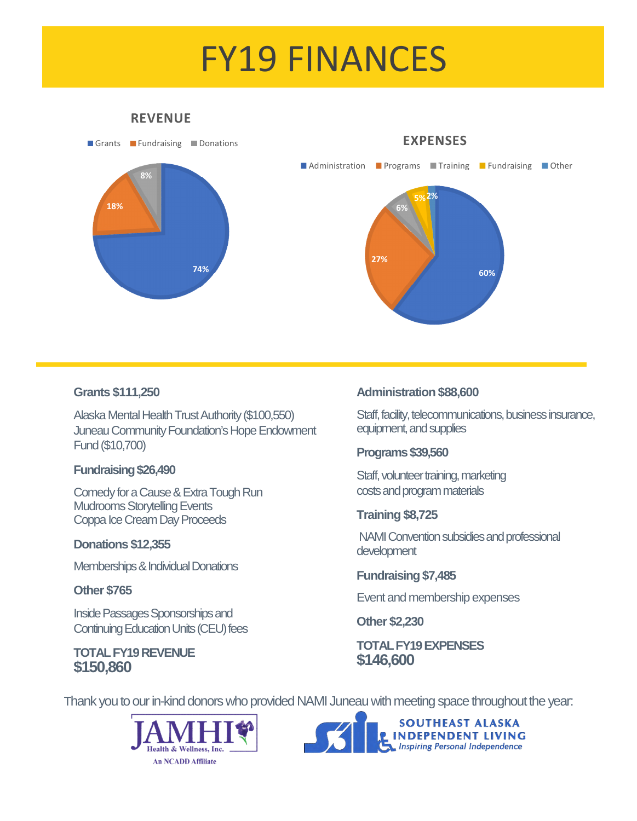# FY19 FINANCES

#### **REVENUE**



#### **Grants \$111,250**

Alaska Mental Health Trust Authority (\$100,550) Juneau Community Foundation's Hope Endowment Fund (\$10,700)

#### **Fundraising \$26,490**

Comedy for a Cause & Extra Tough Run Mudrooms Storytelling Events Coppa Ice Cream Day Proceeds

#### **Donations \$12,355**

Memberships & Individual Donations

#### **Other \$765**

Inside Passages Sponsorships and Continuing Education Units (CEU) fees

#### **TOTAL FY19 REVENUE \$150,860**

#### **Administration \$88,600**

Staff, facility, telecommunications, business insurance, equipment, and supplies

#### **Programs \$39,560**

Staff, volunteer training, marketing costs and program materials

#### **Training \$8,725**

 NAMI Convention subsidies and professional development

#### **Fundraising \$7,485**

Event and membership expenses

**Other \$2,230** 

#### **TOTAL FY19 EXPENSES \$146,600**

Thank you to our in-kind donors who provided NAMI Juneau with meeting space throughout the year: